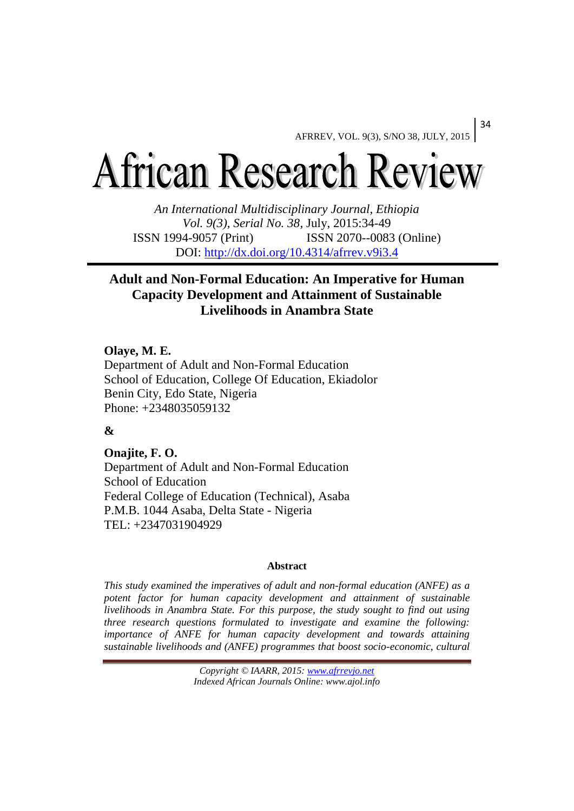34

# **African Research Review**

*An International Multidisciplinary Journal, Ethiopia Vol. 9(3), Serial No. 38,* July, 2015:34-49 ISSN 1994-9057 (Print) ISSN 2070--0083 (Online) DOI:<http://dx.doi.org/10.4314/afrrev.v9i3.4>

## **Adult and Non-Formal Education: An Imperative for Human Capacity Development and Attainment of Sustainable Livelihoods in Anambra State**

## **Olaye, M. E.**

Department of Adult and Non-Formal Education School of Education, College Of Education, Ekiadolor Benin City, Edo State, Nigeria Phone: +2348035059132

## **&**

## **Onajite, F. O.**

Department of Adult and Non-Formal Education School of Education Federal College of Education (Technical), Asaba P.M.B. 1044 Asaba, Delta State - Nigeria TEL: +2347031904929

#### **Abstract**

*This study examined the imperatives of adult and non-formal education (ANFE) as a potent factor for human capacity development and attainment of sustainable livelihoods in Anambra State. For this purpose, the study sought to find out using three research questions formulated to investigate and examine the following: importance of ANFE for human capacity development and towards attaining sustainable livelihoods and (ANFE) programmes that boost socio-economic, cultural*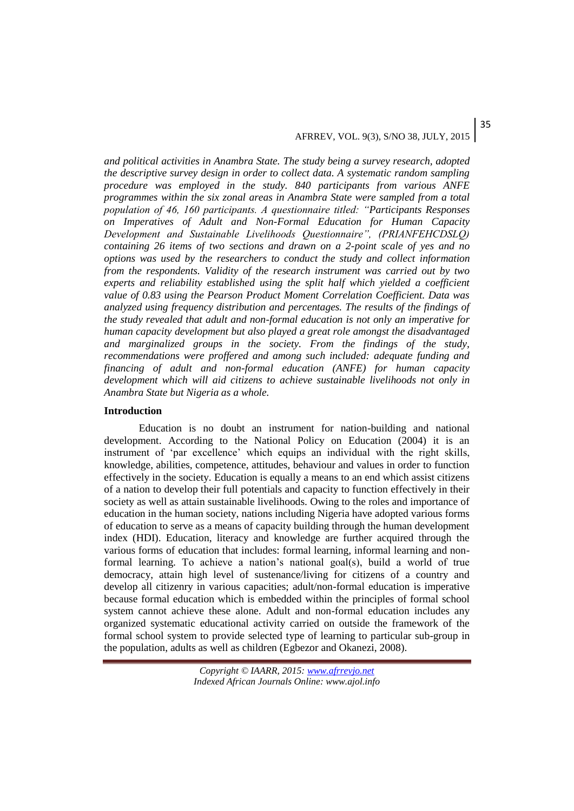*and political activities in Anambra State. The study being a survey research, adopted the descriptive survey design in order to collect data. A systematic random sampling procedure was employed in the study. 840 participants from various ANFE programmes within the six zonal areas in Anambra State were sampled from a total population of 46, 160 participants. A questionnaire titled: "Participants Responses on Imperatives of Adult and Non-Formal Education for Human Capacity Development and Sustainable Livelihoods Questionnaire", (PRIANFEHCDSLQ) containing 26 items of two sections and drawn on a 2-point scale of yes and no options was used by the researchers to conduct the study and collect information from the respondents. Validity of the research instrument was carried out by two experts and reliability established using the split half which yielded a coefficient value of 0.83 using the Pearson Product Moment Correlation Coefficient. Data was analyzed using frequency distribution and percentages. The results of the findings of the study revealed that adult and non-formal education is not only an imperative for human capacity development but also played a great role amongst the disadvantaged and marginalized groups in the society. From the findings of the study, recommendations were proffered and among such included: adequate funding and financing of adult and non-formal education (ANFE) for human capacity development which will aid citizens to achieve sustainable livelihoods not only in Anambra State but Nigeria as a whole.*

#### **Introduction**

Education is no doubt an instrument for nation-building and national development. According to the National Policy on Education (2004) it is an instrument of 'par excellence' which equips an individual with the right skills, knowledge, abilities, competence, attitudes, behaviour and values in order to function effectively in the society. Education is equally a means to an end which assist citizens of a nation to develop their full potentials and capacity to function effectively in their society as well as attain sustainable livelihoods. Owing to the roles and importance of education in the human society, nations including Nigeria have adopted various forms of education to serve as a means of capacity building through the human development index (HDI). Education, literacy and knowledge are further acquired through the various forms of education that includes: formal learning, informal learning and nonformal learning. To achieve a nation's national goal(s), build a world of true democracy, attain high level of sustenance/living for citizens of a country and develop all citizenry in various capacities; adult/non-formal education is imperative because formal education which is embedded within the principles of formal school system cannot achieve these alone. Adult and non-formal education includes any organized systematic educational activity carried on outside the framework of the formal school system to provide selected type of learning to particular sub-group in the population, adults as well as children (Egbezor and Okanezi, 2008).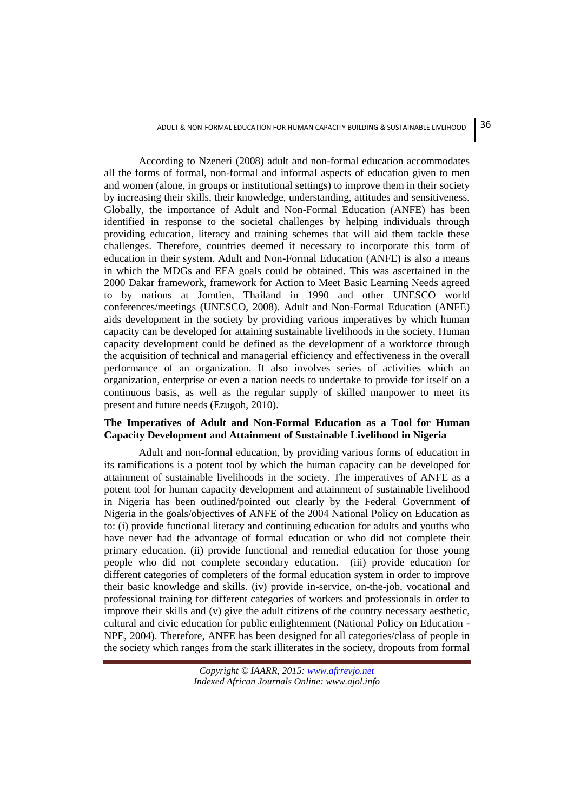36 ADULT & NON-FORMAL EDUCATION FOR HUMAN CAPACITY BUILDING & SUSTAINABLE LIVLIHOOD

According to Nzeneri (2008) adult and non-formal education accommodates all the forms of formal, non-formal and informal aspects of education given to men and women (alone, in groups or institutional settings) to improve them in their society by increasing their skills, their knowledge, understanding, attitudes and sensitiveness. Globally, the importance of Adult and Non-Formal Education (ANFE) has been identified in response to the societal challenges by helping individuals through providing education, literacy and training schemes that will aid them tackle these challenges. Therefore, countries deemed it necessary to incorporate this form of education in their system. Adult and Non-Formal Education (ANFE) is also a means in which the MDGs and EFA goals could be obtained. This was ascertained in the 2000 Dakar framework, framework for Action to Meet Basic Learning Needs agreed to by nations at Jomtien, Thailand in 1990 and other UNESCO world conferences/meetings (UNESCO, 2008). Adult and Non-Formal Education (ANFE) aids development in the society by providing various imperatives by which human capacity can be developed for attaining sustainable livelihoods in the society. Human capacity development could be defined as the development of a workforce through the acquisition of technical and managerial efficiency and effectiveness in the overall performance of an organization. It also involves series of activities which an organization, enterprise or even a nation needs to undertake to provide for itself on a continuous basis, as well as the regular supply of skilled manpower to meet its present and future needs (Ezugoh, 2010).

#### **The Imperatives of Adult and Non-Formal Education as a Tool for Human Capacity Development and Attainment of Sustainable Livelihood in Nigeria**

Adult and non-formal education, by providing various forms of education in its ramifications is a potent tool by which the human capacity can be developed for attainment of sustainable livelihoods in the society. The imperatives of ANFE as a potent tool for human capacity development and attainment of sustainable livelihood in Nigeria has been outlined/pointed out clearly by the Federal Government of Nigeria in the goals/objectives of ANFE of the 2004 National Policy on Education as to: (i) provide functional literacy and continuing education for adults and youths who have never had the advantage of formal education or who did not complete their primary education. (ii) provide functional and remedial education for those young people who did not complete secondary education. (iii) provide education for different categories of completers of the formal education system in order to improve their basic knowledge and skills. (iv) provide in-service, on-the-job, vocational and professional training for different categories of workers and professionals in order to improve their skills and (v) give the adult citizens of the country necessary aesthetic, cultural and civic education for public enlightenment (National Policy on Education - NPE, 2004). Therefore, ANFE has been designed for all categories/class of people in the society which ranges from the stark illiterates in the society, dropouts from formal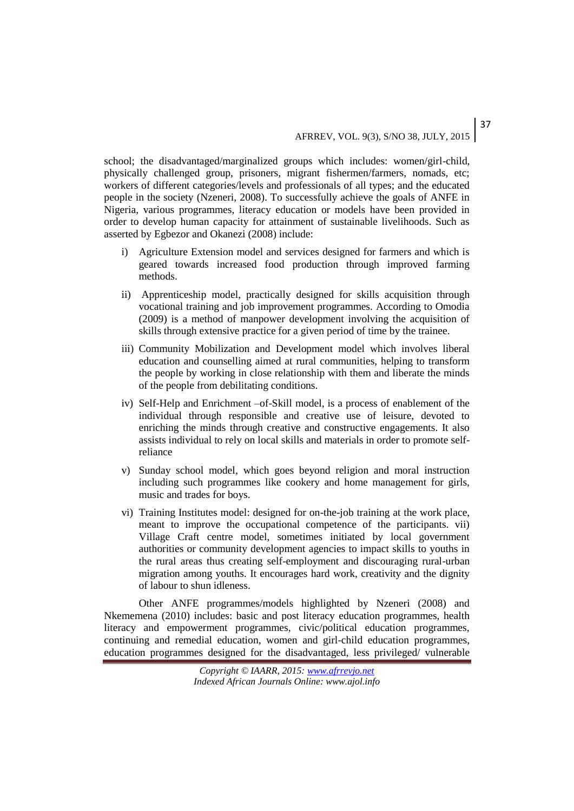school; the disadvantaged/marginalized groups which includes: women/girl-child, physically challenged group, prisoners, migrant fishermen/farmers, nomads, etc; workers of different categories/levels and professionals of all types; and the educated people in the society (Nzeneri, 2008). To successfully achieve the goals of ANFE in Nigeria, various programmes, literacy education or models have been provided in order to develop human capacity for attainment of sustainable livelihoods. Such as asserted by Egbezor and Okanezi (2008) include:

- i) Agriculture Extension model and services designed for farmers and which is geared towards increased food production through improved farming methods.
- ii) Apprenticeship model, practically designed for skills acquisition through vocational training and job improvement programmes. According to Omodia (2009) is a method of manpower development involving the acquisition of skills through extensive practice for a given period of time by the trainee.
- iii) Community Mobilization and Development model which involves liberal education and counselling aimed at rural communities, helping to transform the people by working in close relationship with them and liberate the minds of the people from debilitating conditions.
- iv) Self-Help and Enrichment –of-Skill model, is a process of enablement of the individual through responsible and creative use of leisure, devoted to enriching the minds through creative and constructive engagements. It also assists individual to rely on local skills and materials in order to promote selfreliance
- v) Sunday school model, which goes beyond religion and moral instruction including such programmes like cookery and home management for girls, music and trades for boys.
- vi) Training Institutes model: designed for on-the-job training at the work place, meant to improve the occupational competence of the participants. vii) Village Craft centre model, sometimes initiated by local government authorities or community development agencies to impact skills to youths in the rural areas thus creating self-employment and discouraging rural-urban migration among youths. It encourages hard work, creativity and the dignity of labour to shun idleness.

Other ANFE programmes/models highlighted by Nzeneri (2008) and Nkememena (2010) includes: basic and post literacy education programmes, health literacy and empowerment programmes, civic/political education programmes, continuing and remedial education, women and girl-child education programmes, education programmes designed for the disadvantaged, less privileged/ vulnerable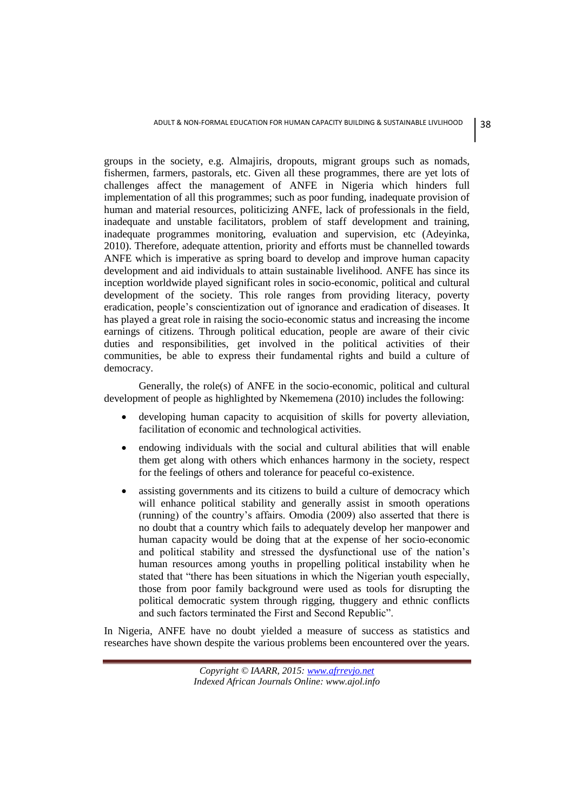groups in the society, e.g. Almajiris, dropouts, migrant groups such as nomads, fishermen, farmers, pastorals, etc. Given all these programmes, there are yet lots of challenges affect the management of ANFE in Nigeria which hinders full implementation of all this programmes; such as poor funding, inadequate provision of human and material resources, politicizing ANFE, lack of professionals in the field, inadequate and unstable facilitators, problem of staff development and training, inadequate programmes monitoring, evaluation and supervision, etc (Adeyinka, 2010). Therefore, adequate attention, priority and efforts must be channelled towards ANFE which is imperative as spring board to develop and improve human capacity development and aid individuals to attain sustainable livelihood. ANFE has since its inception worldwide played significant roles in socio-economic, political and cultural development of the society. This role ranges from providing literacy, poverty eradication, people's conscientization out of ignorance and eradication of diseases. It has played a great role in raising the socio-economic status and increasing the income earnings of citizens. Through political education, people are aware of their civic duties and responsibilities, get involved in the political activities of their communities, be able to express their fundamental rights and build a culture of democracy.

Generally, the role(s) of ANFE in the socio-economic, political and cultural development of people as highlighted by Nkememena (2010) includes the following:

- developing human capacity to acquisition of skills for poverty alleviation, facilitation of economic and technological activities.
- endowing individuals with the social and cultural abilities that will enable them get along with others which enhances harmony in the society, respect for the feelings of others and tolerance for peaceful co-existence.
- assisting governments and its citizens to build a culture of democracy which will enhance political stability and generally assist in smooth operations (running) of the country's affairs. Omodia (2009) also asserted that there is no doubt that a country which fails to adequately develop her manpower and human capacity would be doing that at the expense of her socio-economic and political stability and stressed the dysfunctional use of the nation's human resources among youths in propelling political instability when he stated that "there has been situations in which the Nigerian youth especially, those from poor family background were used as tools for disrupting the political democratic system through rigging, thuggery and ethnic conflicts and such factors terminated the First and Second Republic".

In Nigeria, ANFE have no doubt yielded a measure of success as statistics and researches have shown despite the various problems been encountered over the years.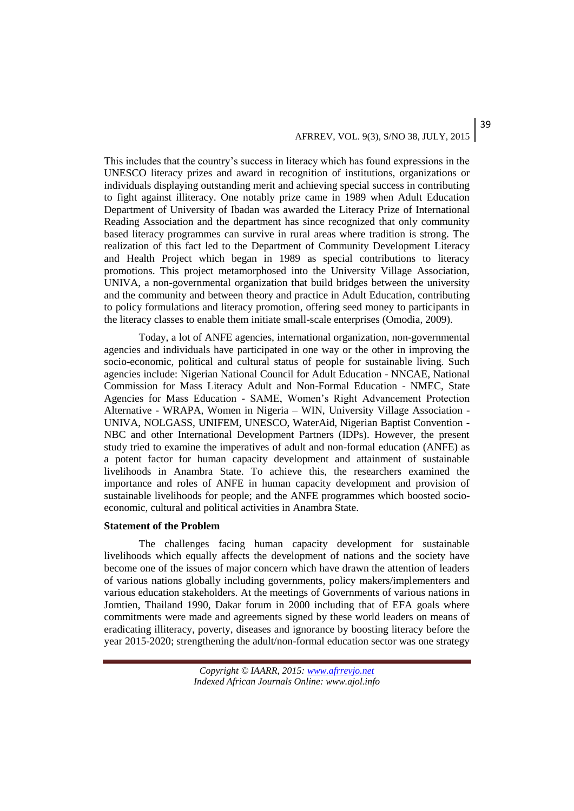This includes that the country's success in literacy which has found expressions in the UNESCO literacy prizes and award in recognition of institutions, organizations or individuals displaying outstanding merit and achieving special success in contributing to fight against illiteracy. One notably prize came in 1989 when Adult Education Department of University of Ibadan was awarded the Literacy Prize of International Reading Association and the department has since recognized that only community based literacy programmes can survive in rural areas where tradition is strong. The realization of this fact led to the Department of Community Development Literacy and Health Project which began in 1989 as special contributions to literacy promotions. This project metamorphosed into the University Village Association, UNIVA, a non-governmental organization that build bridges between the university and the community and between theory and practice in Adult Education, contributing to policy formulations and literacy promotion, offering seed money to participants in the literacy classes to enable them initiate small-scale enterprises (Omodia, 2009).

Today, a lot of ANFE agencies, international organization, non-governmental agencies and individuals have participated in one way or the other in improving the socio-economic, political and cultural status of people for sustainable living. Such agencies include: Nigerian National Council for Adult Education - NNCAE, National Commission for Mass Literacy Adult and Non-Formal Education - NMEC, State Agencies for Mass Education - SAME, Women's Right Advancement Protection Alternative - WRAPA, Women in Nigeria – WIN, University Village Association - UNIVA, NOLGASS, UNIFEM, UNESCO, WaterAid, Nigerian Baptist Convention - NBC and other International Development Partners (IDPs). However, the present study tried to examine the imperatives of adult and non-formal education (ANFE) as a potent factor for human capacity development and attainment of sustainable livelihoods in Anambra State. To achieve this, the researchers examined the importance and roles of ANFE in human capacity development and provision of sustainable livelihoods for people; and the ANFE programmes which boosted socioeconomic, cultural and political activities in Anambra State.

#### **Statement of the Problem**

The challenges facing human capacity development for sustainable livelihoods which equally affects the development of nations and the society have become one of the issues of major concern which have drawn the attention of leaders of various nations globally including governments, policy makers/implementers and various education stakeholders. At the meetings of Governments of various nations in Jomtien, Thailand 1990, Dakar forum in 2000 including that of EFA goals where commitments were made and agreements signed by these world leaders on means of eradicating illiteracy, poverty, diseases and ignorance by boosting literacy before the year 2015-2020; strengthening the adult/non-formal education sector was one strategy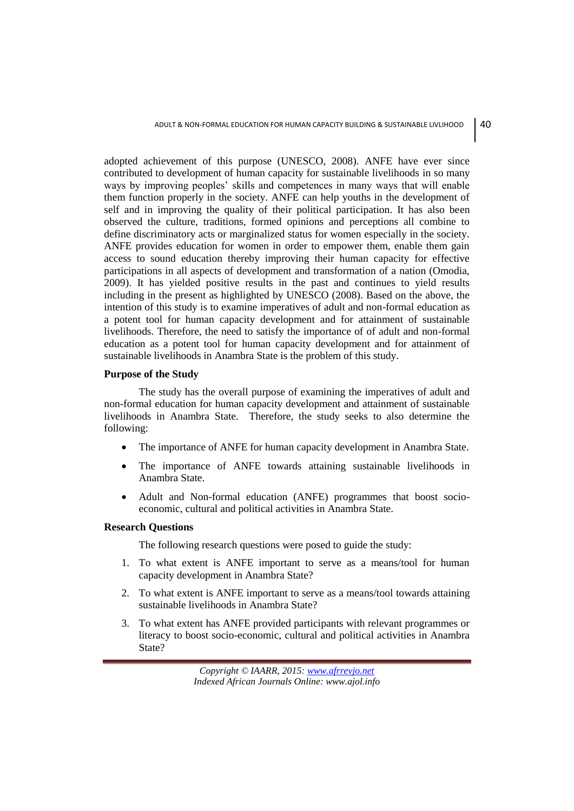adopted achievement of this purpose (UNESCO, 2008). ANFE have ever since contributed to development of human capacity for sustainable livelihoods in so many ways by improving peoples' skills and competences in many ways that will enable them function properly in the society. ANFE can help youths in the development of self and in improving the quality of their political participation. It has also been observed the culture, traditions, formed opinions and perceptions all combine to define discriminatory acts or marginalized status for women especially in the society. ANFE provides education for women in order to empower them, enable them gain access to sound education thereby improving their human capacity for effective participations in all aspects of development and transformation of a nation (Omodia, 2009). It has yielded positive results in the past and continues to yield results including in the present as highlighted by UNESCO (2008). Based on the above, the intention of this study is to examine imperatives of adult and non-formal education as a potent tool for human capacity development and for attainment of sustainable livelihoods. Therefore, the need to satisfy the importance of of adult and non-formal education as a potent tool for human capacity development and for attainment of sustainable livelihoods in Anambra State is the problem of this study.

#### **Purpose of the Study**

The study has the overall purpose of examining the imperatives of adult and non-formal education for human capacity development and attainment of sustainable livelihoods in Anambra State. Therefore, the study seeks to also determine the following:

- The importance of ANFE for human capacity development in Anambra State.
- The importance of ANFE towards attaining sustainable livelihoods in Anambra State.
- Adult and Non-formal education (ANFE) programmes that boost socioeconomic, cultural and political activities in Anambra State.

#### **Research Questions**

The following research questions were posed to guide the study:

- 1. To what extent is ANFE important to serve as a means/tool for human capacity development in Anambra State?
- 2. To what extent is ANFE important to serve as a means/tool towards attaining sustainable livelihoods in Anambra State?
- 3. To what extent has ANFE provided participants with relevant programmes or literacy to boost socio-economic, cultural and political activities in Anambra State?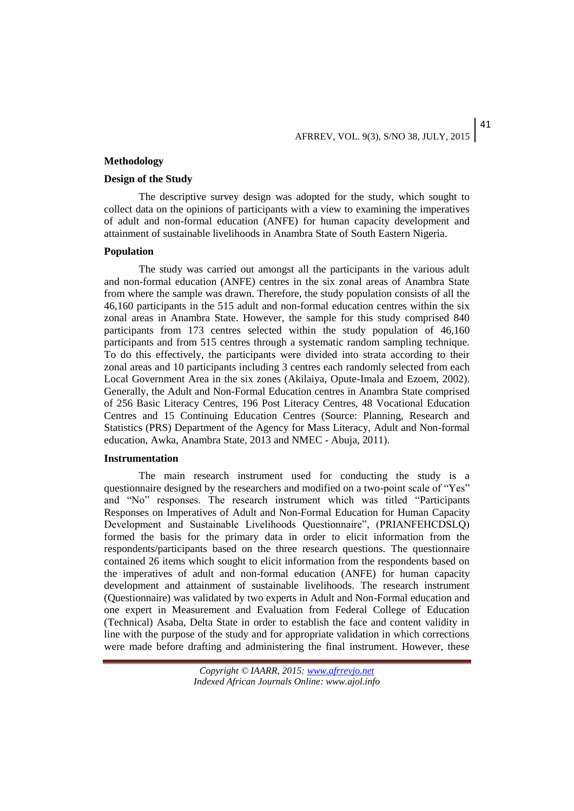41

#### **Methodology**

#### **Design of the Study**

The descriptive survey design was adopted for the study, which sought to collect data on the opinions of participants with a view to examining the imperatives of adult and non-formal education (ANFE) for human capacity development and attainment of sustainable livelihoods in Anambra State of South Eastern Nigeria.

#### **Population**

The study was carried out amongst all the participants in the various adult and non-formal education (ANFE) centres in the six zonal areas of Anambra State from where the sample was drawn. Therefore, the study population consists of all the 46,160 participants in the 515 adult and non-formal education centres within the six zonal areas in Anambra State. However, the sample for this study comprised 840 participants from 173 centres selected within the study population of 46,160 participants and from 515 centres through a systematic random sampling technique. To do this effectively, the participants were divided into strata according to their zonal areas and 10 participants including 3 centres each randomly selected from each Local Government Area in the six zones (Akilaiya, Opute-Imala and Ezoem, 2002). Generally, the Adult and Non-Formal Education centres in Anambra State comprised of 256 Basic Literacy Centres, 196 Post Literacy Centres, 48 Vocational Education Centres and 15 Continuing Education Centres (Source: Planning, Research and Statistics (PRS) Department of the Agency for Mass Literacy, Adult and Non-formal education, Awka, Anambra State, 2013 and NMEC - Abuja, 2011).

#### **Instrumentation**

The main research instrument used for conducting the study is a questionnaire designed by the researchers and modified on a two-point scale of "Yes" and "No" responses. The research instrument which was titled "Participants Responses on Imperatives of Adult and Non-Formal Education for Human Capacity Development and Sustainable Livelihoods Questionnaire", (PRIANFEHCDSLQ) formed the basis for the primary data in order to elicit information from the respondents/participants based on the three research questions. The questionnaire contained 26 items which sought to elicit information from the respondents based on the imperatives of adult and non-formal education (ANFE) for human capacity development and attainment of sustainable livelihoods. The research instrument (Questionnaire) was validated by two experts in Adult and Non-Formal education and one expert in Measurement and Evaluation from Federal College of Education (Technical) Asaba, Delta State in order to establish the face and content validity in line with the purpose of the study and for appropriate validation in which corrections were made before drafting and administering the final instrument. However, these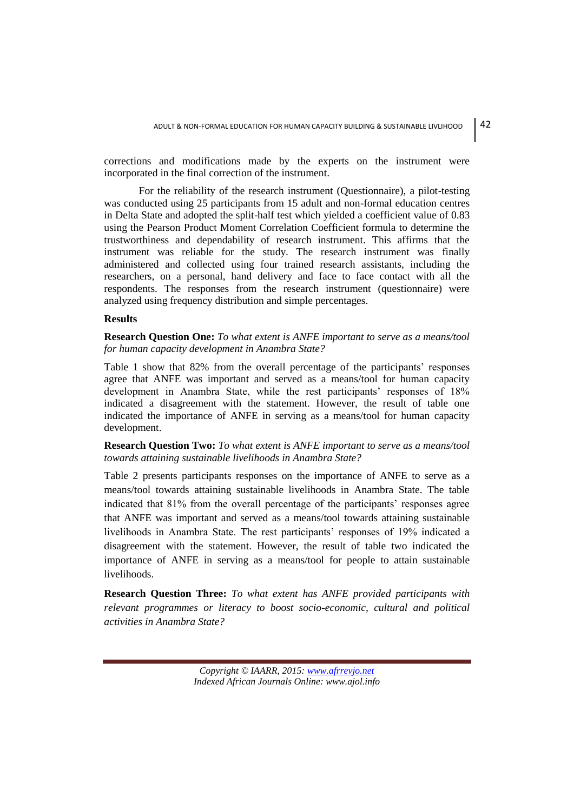42

corrections and modifications made by the experts on the instrument were incorporated in the final correction of the instrument.

For the reliability of the research instrument (Questionnaire), a pilot-testing was conducted using 25 participants from 15 adult and non-formal education centres in Delta State and adopted the split-half test which yielded a coefficient value of 0.83 using the Pearson Product Moment Correlation Coefficient formula to determine the trustworthiness and dependability of research instrument. This affirms that the instrument was reliable for the study. The research instrument was finally administered and collected using four trained research assistants, including the researchers, on a personal, hand delivery and face to face contact with all the respondents. The responses from the research instrument (questionnaire) were analyzed using frequency distribution and simple percentages.

#### **Results**

**Research Question One:** *To what extent is ANFE important to serve as a means/tool for human capacity development in Anambra State?* 

Table 1 show that 82% from the overall percentage of the participants' responses agree that ANFE was important and served as a means/tool for human capacity development in Anambra State, while the rest participants' responses of 18% indicated a disagreement with the statement. However, the result of table one indicated the importance of ANFE in serving as a means/tool for human capacity development.

**Research Question Two:** *To what extent is ANFE important to serve as a means/tool towards attaining sustainable livelihoods in Anambra State?*

Table 2 presents participants responses on the importance of ANFE to serve as a means/tool towards attaining sustainable livelihoods in Anambra State. The table indicated that 81% from the overall percentage of the participants' responses agree that ANFE was important and served as a means/tool towards attaining sustainable livelihoods in Anambra State. The rest participants' responses of 19% indicated a disagreement with the statement. However, the result of table two indicated the importance of ANFE in serving as a means/tool for people to attain sustainable livelihoods.

**Research Question Three:** *To what extent has ANFE provided participants with relevant programmes or literacy to boost socio-economic, cultural and political activities in Anambra State?*

> *Copyright © IAARR, 2015: www.afrrevjo.net Indexed African Journals Online: www.ajol.info*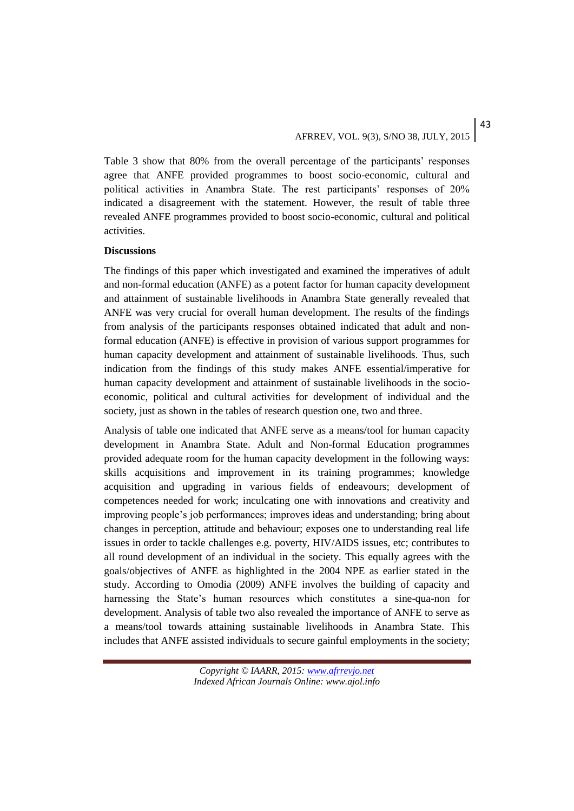Table 3 show that 80% from the overall percentage of the participants' responses agree that ANFE provided programmes to boost socio-economic, cultural and political activities in Anambra State. The rest participants' responses of 20% indicated a disagreement with the statement. However, the result of table three revealed ANFE programmes provided to boost socio-economic, cultural and political activities.

#### **Discussions**

The findings of this paper which investigated and examined the imperatives of adult and non-formal education (ANFE) as a potent factor for human capacity development and attainment of sustainable livelihoods in Anambra State generally revealed that ANFE was very crucial for overall human development. The results of the findings from analysis of the participants responses obtained indicated that adult and nonformal education (ANFE) is effective in provision of various support programmes for human capacity development and attainment of sustainable livelihoods. Thus, such indication from the findings of this study makes ANFE essential/imperative for human capacity development and attainment of sustainable livelihoods in the socioeconomic, political and cultural activities for development of individual and the society, just as shown in the tables of research question one, two and three.

Analysis of table one indicated that ANFE serve as a means/tool for human capacity development in Anambra State. Adult and Non-formal Education programmes provided adequate room for the human capacity development in the following ways: skills acquisitions and improvement in its training programmes; knowledge acquisition and upgrading in various fields of endeavours; development of competences needed for work; inculcating one with innovations and creativity and improving people's job performances; improves ideas and understanding; bring about changes in perception, attitude and behaviour; exposes one to understanding real life issues in order to tackle challenges e.g. poverty, HIV/AIDS issues, etc; contributes to all round development of an individual in the society. This equally agrees with the goals/objectives of ANFE as highlighted in the 2004 NPE as earlier stated in the study. According to Omodia (2009) ANFE involves the building of capacity and harnessing the State's human resources which constitutes a sine-qua-non for development. Analysis of table two also revealed the importance of ANFE to serve as a means/tool towards attaining sustainable livelihoods in Anambra State. This includes that ANFE assisted individuals to secure gainful employments in the society;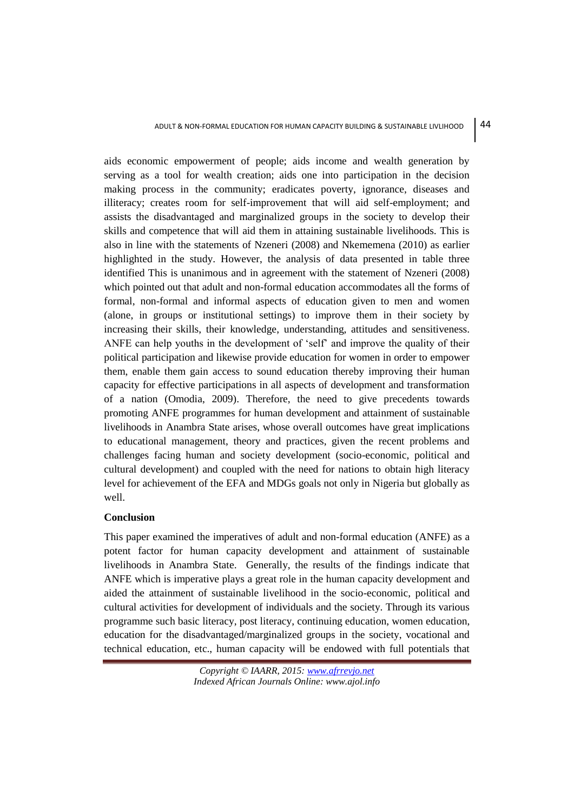44 ADULT & NON-FORMAL EDUCATION FOR HUMAN CAPACITY BUILDING & SUSTAINABLE LIVLIHOOD

aids economic empowerment of people; aids income and wealth generation by serving as a tool for wealth creation; aids one into participation in the decision making process in the community; eradicates poverty, ignorance, diseases and illiteracy; creates room for self-improvement that will aid self-employment; and assists the disadvantaged and marginalized groups in the society to develop their skills and competence that will aid them in attaining sustainable livelihoods. This is also in line with the statements of Nzeneri (2008) and Nkememena (2010) as earlier highlighted in the study. However, the analysis of data presented in table three identified This is unanimous and in agreement with the statement of Nzeneri (2008) which pointed out that adult and non-formal education accommodates all the forms of formal, non-formal and informal aspects of education given to men and women (alone, in groups or institutional settings) to improve them in their society by increasing their skills, their knowledge, understanding, attitudes and sensitiveness. ANFE can help youths in the development of 'self' and improve the quality of their political participation and likewise provide education for women in order to empower them, enable them gain access to sound education thereby improving their human capacity for effective participations in all aspects of development and transformation of a nation (Omodia, 2009). Therefore, the need to give precedents towards promoting ANFE programmes for human development and attainment of sustainable livelihoods in Anambra State arises, whose overall outcomes have great implications to educational management, theory and practices, given the recent problems and challenges facing human and society development (socio-economic, political and cultural development) and coupled with the need for nations to obtain high literacy level for achievement of the EFA and MDGs goals not only in Nigeria but globally as well.

#### **Conclusion**

This paper examined the imperatives of adult and non-formal education (ANFE) as a potent factor for human capacity development and attainment of sustainable livelihoods in Anambra State. Generally, the results of the findings indicate that ANFE which is imperative plays a great role in the human capacity development and aided the attainment of sustainable livelihood in the socio-economic, political and cultural activities for development of individuals and the society. Through its various programme such basic literacy, post literacy, continuing education, women education, education for the disadvantaged/marginalized groups in the society, vocational and technical education, etc., human capacity will be endowed with full potentials that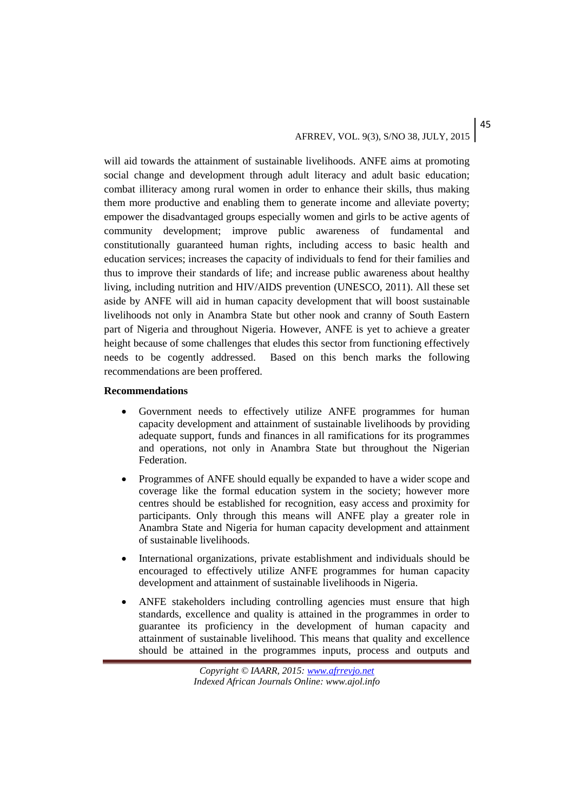will aid towards the attainment of sustainable livelihoods. ANFE aims at promoting social change and development through adult literacy and adult basic education; combat illiteracy among rural women in order to enhance their skills, thus making them more productive and enabling them to generate income and alleviate poverty; empower the disadvantaged groups especially women and girls to be active agents of community development; improve public awareness of fundamental and constitutionally guaranteed human rights, including access to basic health and education services; increases the capacity of individuals to fend for their families and thus to improve their standards of life; and increase public awareness about healthy living, including nutrition and HIV/AIDS prevention (UNESCO, 2011). All these set aside by ANFE will aid in human capacity development that will boost sustainable livelihoods not only in Anambra State but other nook and cranny of South Eastern part of Nigeria and throughout Nigeria. However, ANFE is yet to achieve a greater height because of some challenges that eludes this sector from functioning effectively needs to be cogently addressed. Based on this bench marks the following recommendations are been proffered.

#### **Recommendations**

- Government needs to effectively utilize ANFE programmes for human capacity development and attainment of sustainable livelihoods by providing adequate support, funds and finances in all ramifications for its programmes and operations, not only in Anambra State but throughout the Nigerian Federation.
- Programmes of ANFE should equally be expanded to have a wider scope and coverage like the formal education system in the society; however more centres should be established for recognition, easy access and proximity for participants. Only through this means will ANFE play a greater role in Anambra State and Nigeria for human capacity development and attainment of sustainable livelihoods.
- International organizations, private establishment and individuals should be encouraged to effectively utilize ANFE programmes for human capacity development and attainment of sustainable livelihoods in Nigeria.
- ANFE stakeholders including controlling agencies must ensure that high standards, excellence and quality is attained in the programmes in order to guarantee its proficiency in the development of human capacity and attainment of sustainable livelihood. This means that quality and excellence should be attained in the programmes inputs, process and outputs and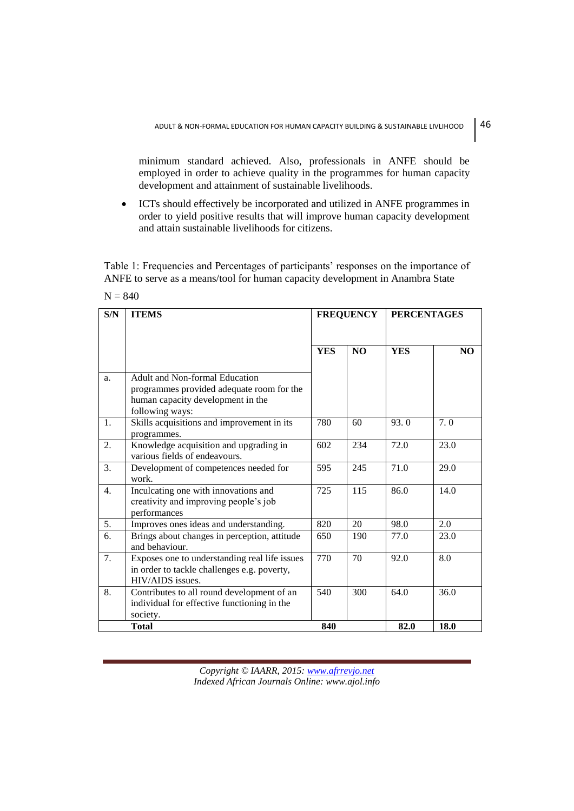46

minimum standard achieved. Also, professionals in ANFE should be employed in order to achieve quality in the programmes for human capacity development and attainment of sustainable livelihoods.

 ICTs should effectively be incorporated and utilized in ANFE programmes in order to yield positive results that will improve human capacity development and attain sustainable livelihoods for citizens.

Table 1: Frequencies and Percentages of participants' responses on the importance of ANFE to serve as a means/tool for human capacity development in Anambra State

 $N = 840$ 

| S/N | <b>ITEMS</b>                                                                                                                        | <b>FREQUENCY</b> |                | <b>PERCENTAGES</b> |                |
|-----|-------------------------------------------------------------------------------------------------------------------------------------|------------------|----------------|--------------------|----------------|
|     |                                                                                                                                     | <b>YES</b>       | N <sub>O</sub> | <b>YES</b>         | N <sub>O</sub> |
| a.  | Adult and Non-formal Education<br>programmes provided adequate room for the<br>human capacity development in the<br>following ways: |                  |                |                    |                |
| 1.  | Skills acquisitions and improvement in its<br>programmes.                                                                           | 780              | 60             | 93.0               | 7.0            |
| 2.  | Knowledge acquisition and upgrading in<br>various fields of endeavours.                                                             | 602              | 234            | 72.0               | 23.0           |
| 3.  | Development of competences needed for<br>work.                                                                                      | 595              | 245            | 71.0               | 29.0           |
| 4.  | Inculcating one with innovations and<br>creativity and improving people's job<br>performances                                       | 725              | 115            | 86.0               | 14.0           |
| 5.  | Improves ones ideas and understanding.                                                                                              | 820              | 20             | 98.0               | 2.0            |
| 6.  | Brings about changes in perception, attitude<br>and behaviour.                                                                      | 650              | 190            | 77.0               | 23.0           |
| 7.  | Exposes one to understanding real life issues<br>in order to tackle challenges e.g. poverty,<br>HIV/AIDS issues.                    | 770              | 70             | 92.0               | 8.0            |
| 8.  | Contributes to all round development of an<br>individual for effective functioning in the<br>society.                               | 540              | 300            | 64.0               | 36.0           |
|     | <b>Total</b>                                                                                                                        | 840              |                | 82.0               | 18.0           |

*Copyright © IAARR, 2015: www.afrrevjo.net Indexed African Journals Online: www.ajol.info*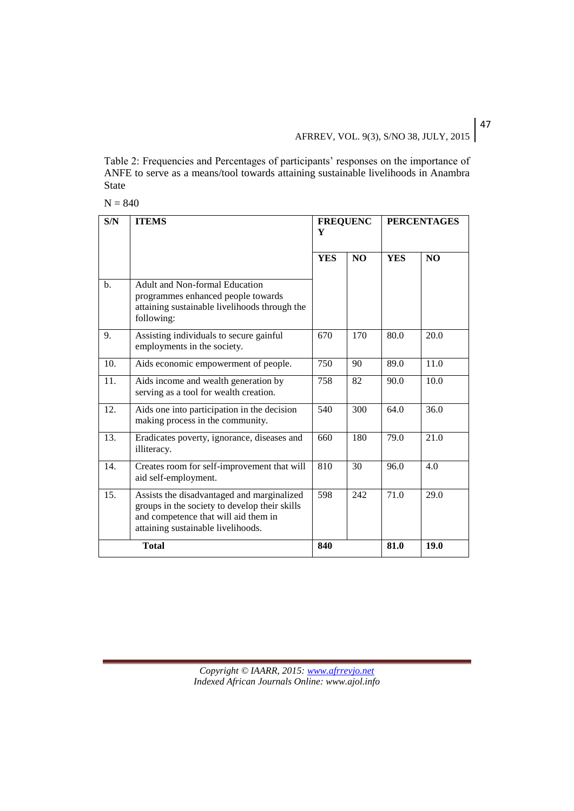Table 2: Frequencies and Percentages of participants' responses on the importance of ANFE to serve as a means/tool towards attaining sustainable livelihoods in Anambra State

|  | I<br>۰. |
|--|---------|
|--|---------|

| S/N          | <b>ITEMS</b>                                                                                                                                                              | <b>FREQUENC</b><br>Y |                | <b>PERCENTAGES</b> |                |
|--------------|---------------------------------------------------------------------------------------------------------------------------------------------------------------------------|----------------------|----------------|--------------------|----------------|
|              |                                                                                                                                                                           | <b>YES</b>           | N <sub>O</sub> | <b>YES</b>         | N <sub>O</sub> |
| $b$ .        | Adult and Non-formal Education<br>programmes enhanced people towards<br>attaining sustainable livelihoods through the<br>following:                                       |                      |                |                    |                |
| 9.           | Assisting individuals to secure gainful<br>employments in the society.                                                                                                    | 670                  | 170            | 80.0               | 20.0           |
| 10.          | Aids economic empowerment of people.                                                                                                                                      | 750                  | 90             | 89.0               | 11.0           |
| 11.          | Aids income and wealth generation by<br>serving as a tool for wealth creation.                                                                                            | 758                  | 82             | 90.0               | 10.0           |
| 12.          | Aids one into participation in the decision<br>making process in the community.                                                                                           | 540                  | 300            | 64.0               | 36.0           |
| 13.          | Eradicates poverty, ignorance, diseases and<br>illiteracy.                                                                                                                | 660                  | 180            | 79.0               | 21.0           |
| 14.          | Creates room for self-improvement that will<br>aid self-employment.                                                                                                       | 810                  | 30             | 96.0               | 4.0            |
| 15.          | Assists the disadvantaged and marginalized<br>groups in the society to develop their skills<br>and competence that will aid them in<br>attaining sustainable livelihoods. | 598                  | 242            | 71.0               | 29.0           |
| <b>Total</b> |                                                                                                                                                                           | 840                  |                | 81.0               | 19.0           |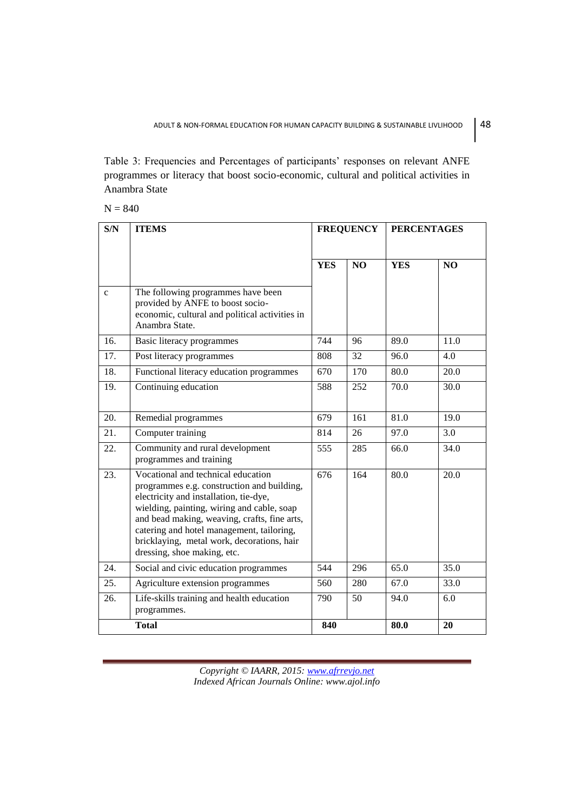Table 3: Frequencies and Percentages of participants' responses on relevant ANFE programmes or literacy that boost socio-economic, cultural and political activities in Anambra State

|  | ۰. |
|--|----|
|--|----|

| S/N          | <b>ITEMS</b>                                                                                                                                                                                                                                                                                                                                       | <b>FREQUENCY</b> |     | <b>PERCENTAGES</b> |      |
|--------------|----------------------------------------------------------------------------------------------------------------------------------------------------------------------------------------------------------------------------------------------------------------------------------------------------------------------------------------------------|------------------|-----|--------------------|------|
|              |                                                                                                                                                                                                                                                                                                                                                    | <b>YES</b>       | NO  | <b>YES</b>         | NO   |
| $\mathbf{c}$ | The following programmes have been<br>provided by ANFE to boost socio-<br>economic, cultural and political activities in<br>Anambra State.                                                                                                                                                                                                         |                  |     |                    |      |
| 16.          | Basic literacy programmes                                                                                                                                                                                                                                                                                                                          | 744              | 96  | 89.0               | 11.0 |
| 17.          | Post literacy programmes                                                                                                                                                                                                                                                                                                                           | 808              | 32  | 96.0               | 4.0  |
| 18.          | Functional literacy education programmes                                                                                                                                                                                                                                                                                                           | 670              | 170 | 80.0               | 20.0 |
| 19.          | Continuing education                                                                                                                                                                                                                                                                                                                               | 588              | 252 | 70.0               | 30.0 |
| 20.          | Remedial programmes                                                                                                                                                                                                                                                                                                                                | $\overline{679}$ | 161 | 81.0               | 19.0 |
| 21.          | Computer training                                                                                                                                                                                                                                                                                                                                  | 814              | 26  | 97.0               | 3.0  |
| 22.          | Community and rural development<br>programmes and training                                                                                                                                                                                                                                                                                         | 555              | 285 | 66.0               | 34.0 |
| 23.          | Vocational and technical education<br>programmes e.g. construction and building,<br>electricity and installation, tie-dye,<br>wielding, painting, wiring and cable, soap<br>and bead making, weaving, crafts, fine arts,<br>catering and hotel management, tailoring,<br>bricklaying, metal work, decorations, hair<br>dressing, shoe making, etc. | 676              | 164 | 80.0               | 20.0 |
| 24.          | Social and civic education programmes                                                                                                                                                                                                                                                                                                              | 544              | 296 | 65.0               | 35.0 |
| 25.          | Agriculture extension programmes                                                                                                                                                                                                                                                                                                                   | 560              | 280 | 67.0               | 33.0 |
| 26.          | Life-skills training and health education<br>programmes.                                                                                                                                                                                                                                                                                           | 790              | 50  | 94.0               | 6.0  |
| <b>Total</b> |                                                                                                                                                                                                                                                                                                                                                    | 840              |     | 80.0               | 20   |

*Copyright © IAARR, 2015: www.afrrevjo.net Indexed African Journals Online: www.ajol.info*